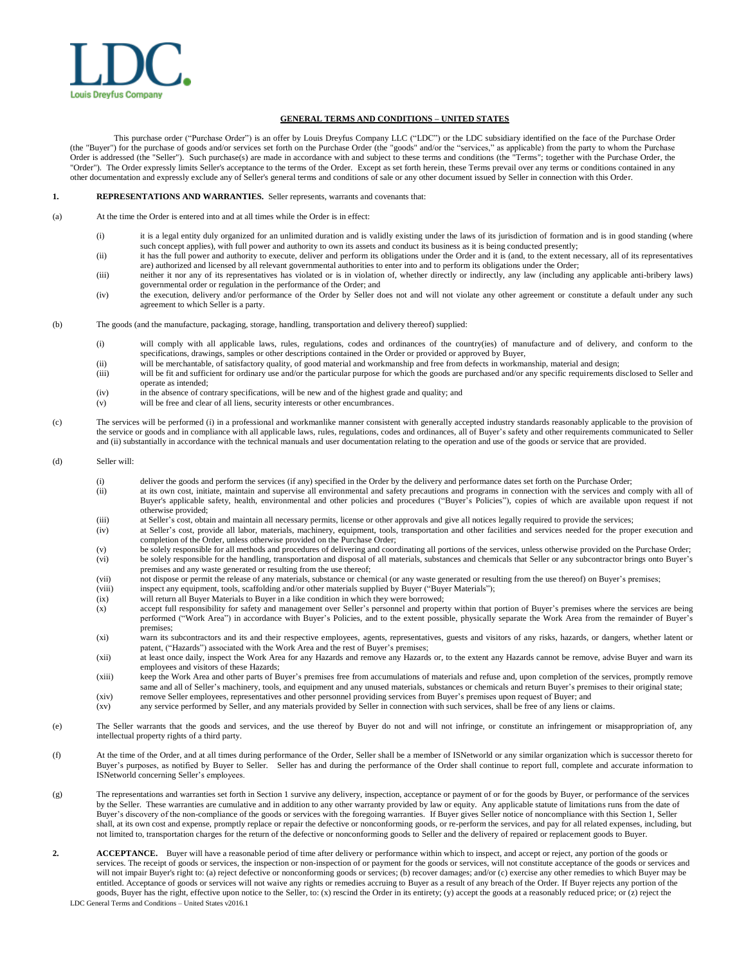

## **GENERAL TERMS AND CONDITIONS – UNITED STATES**

This purchase order ("Purchase Order") is an offer by Louis Dreyfus Company LLC ("LDC") or the LDC subsidiary identified on the face of the Purchase Order (the "Buyer") for the purchase of goods and/or services set forth on the Purchase Order (the "goods" and/or the "services," as applicable) from the party to whom the Purchase Order is addressed (the "Seller"). Such purchase(s) are made in accordance with and subject to these terms and conditions (the "Terms"; together with the Purchase Order, the "Order"). The Order expressly limits Seller's acceptance to the terms of the Order. Except as set forth herein, these Terms prevail over any terms or conditions contained in any other documentation and expressly exclude any of Seller's general terms and conditions of sale or any other document issued by Seller in connection with this Order.

## **1. REPRESENTATIONS AND WARRANTIES.** Seller represents, warrants and covenants that:

(a) At the time the Order is entered into and at all times while the Order is in effect:

- (i) it is a legal entity duly organized for an unlimited duration and is validly existing under the laws of its jurisdiction of formation and is in good standing (where such concept applies), with full power and authority to own its assets and conduct its business as it is being conducted presently;
- (ii) it has the full power and authority to execute, deliver and perform its obligations under the Order and it is (and, to the extent necessary, all of its representatives are) authorized and licensed by all relevant governmental authorities to enter into and to perform its obligations under the Order;
- (iii) neither it nor any of its representatives has violated or is in violation of, whether directly or indirectly, any law (including any applicable anti-bribery laws) governmental order or regulation in the performance of the Order; and
- (iv) the execution, delivery and/or performance of the Order by Seller does not and will not violate any other agreement or constitute a default under any such agreement to which Seller is a party.
- (b) The goods (and the manufacture, packaging, storage, handling, transportation and delivery thereof) supplied:
	- (i) will comply with all applicable laws, rules, regulations, codes and ordinances of the country(ies) of manufacture and of delivery, and conform to the specifications, drawings, samples or other descriptions contained in the Order or provided or approved by Buyer,
	- (ii) will be merchantable, of satisfactory quality, of good material and workmanship and free from defects in workmanship, material and design;
	- (iii) will be fit and sufficient for ordinary use and/or the particular purpose for which the goods are purchased and/or any specific requirements disclosed to Seller and operate as intended;
	- (iv) in the absence of contrary specifications, will be new and of the highest grade and quality; and
	- (v) will be free and clear of all liens, security interests or other encumbrances.
- (c) The services will be performed (i) in a professional and workmanlike manner consistent with generally accepted industry standards reasonably applicable to the provision of the service or goods and in compliance with all applicable laws, rules, regulations, codes and ordinances, all of Buyer's safety and other requirements communicated to Seller and (ii) substantially in accordance with the technical manuals and user documentation relating to the operation and use of the goods or service that are provided.

## (d) Seller will:

- (i) deliver the goods and perform the services (if any) specified in the Order by the delivery and performance dates set forth on the Purchase Order;
- (ii) at its own cost, initiate, maintain and supervise all environmental and safety precautions and programs in connection with the services and comply with all of Buyer's applicable safety, health, environmental and other policies and procedures ("Buyer's Policies"), copies of which are available upon request if not otherwise provided;
- (iii) at Seller's cost, obtain and maintain all necessary permits, license or other approvals and give all notices legally required to provide the services;
- (iv) at Seller's cost, provide all labor, materials, machinery, equipment, tools, transportation and other facilities and services needed for the proper execution and completion of the Order, unless otherwise provided on the Purchase Order;
- (v) be solely responsible for all methods and procedures of delivering and coordinating all portions of the services, unless otherwise provided on the Purchase Order;<br>(vi) be solely responsible for the handline, transporta be solely responsible for the handling, transportation and disposal of all materials, substances and chemicals that Seller or any subcontractor brings onto Buyer's premises and any waste generated or resulting from the use thereof;
- (vii) not dispose or permit the release of any materials, substance or chemical (or any waste generated or resulting from the use thereof) on Buyer's premises;
- (viii) inspect any equipment, tools, scaffolding and/or other materials supplied by Buyer ("Buyer Materials");
- (ix) will return all Buyer Materials to Buyer in a like condition in which they were borrowed;
- (x) accept full responsibility for safety and management over Seller's personnel and property within that portion of Buyer's premises where the services are being performed ("Work Area") in accordance with Buyer's Policies, and to the extent possible, physically separate the Work Area from the remainder of Buyer's premises;
- (xi) warn its subcontractors and its and their respective employees, agents, representatives, guests and visitors of any risks, hazards, or dangers, whether latent or patent, ("Hazards") associated with the Work Area and the rest of Buyer's premises
- (xii) at least once daily, inspect the Work Area for any Hazards and remove any Hazards or, to the extent any Hazards cannot be remove, advise Buyer and warn its employees and visitors of these Hazards;
- (xiii) keep the Work Area and other parts of Buyer's premises free from accumulations of materials and refuse and, upon completion of the services, promptly remove same and all of Seller's machinery, tools, and equipment and any unused materials, substances or chemicals and return Buyer's premises to their original state;
- (xiv) remove Seller employees, representatives and other personnel providing services from Buyer's premises upon request of Buyer; and
- (xv) any service performed by Seller, and any materials provided by Seller in connection with such services, shall be free of any liens or claims.
- (e) The Seller warrants that the goods and services, and the use thereof by Buyer do not and will not infringe, or constitute an infringement or misappropriation of, any intellectual property rights of a third party.
- (f) At the time of the Order, and at all times during performance of the Order, Seller shall be a member of ISNetworld or any similar organization which is successor thereto for Buyer's purposes, as notified by Buyer to Seller. Seller has and during the performance of the Order shall continue to report full, complete and accurate information to ISNetworld concerning Seller's employees.
- (g) The representations and warranties set forth in Section 1 survive any delivery, inspection, acceptance or payment of or for the goods by Buyer, or performance of the services by the Seller. These warranties are cumulative and in addition to any other warranty provided by law or equity. Any applicable statute of limitations runs from the date of Buyer's discovery of the non-compliance of the goods or services with the foregoing warranties. If Buyer gives Seller notice of noncompliance with this Section 1, Seller shall, at its own cost and expense, promptly replace or repair the defective or nonconforming goods, or re-perform the services, and pay for all related expenses, including, but not limited to, transportation charges for the return of the defective or nonconforming goods to Seller and the delivery of repaired or replacement goods to Buyer.
- LDC General Terms and Conditions United States v2016.1 **2. ACCEPTANCE.** Buyer will have a reasonable period of time after delivery or performance within which to inspect, and accept or reject, any portion of the goods or services. The receipt of goods or services, the inspection or non-inspection of or payment for the goods or services, will not constitute acceptance of the goods or services and will not impair Buyer's right to: (a) reject defective or nonconforming goods or services; (b) recover damages; and/or (c) exercise any other remedies to which Buyer may be entitled. Acceptance of goods or services will not waive any rights or remedies accruing to Buyer as a result of any breach of the Order. If Buyer rejects any portion of the goods, Buyer has the right, effective upon notice to the Seller, to: (x) rescind the Order in its entirety; (y) accept the goods at a reasonably reduced price; or (z) reject the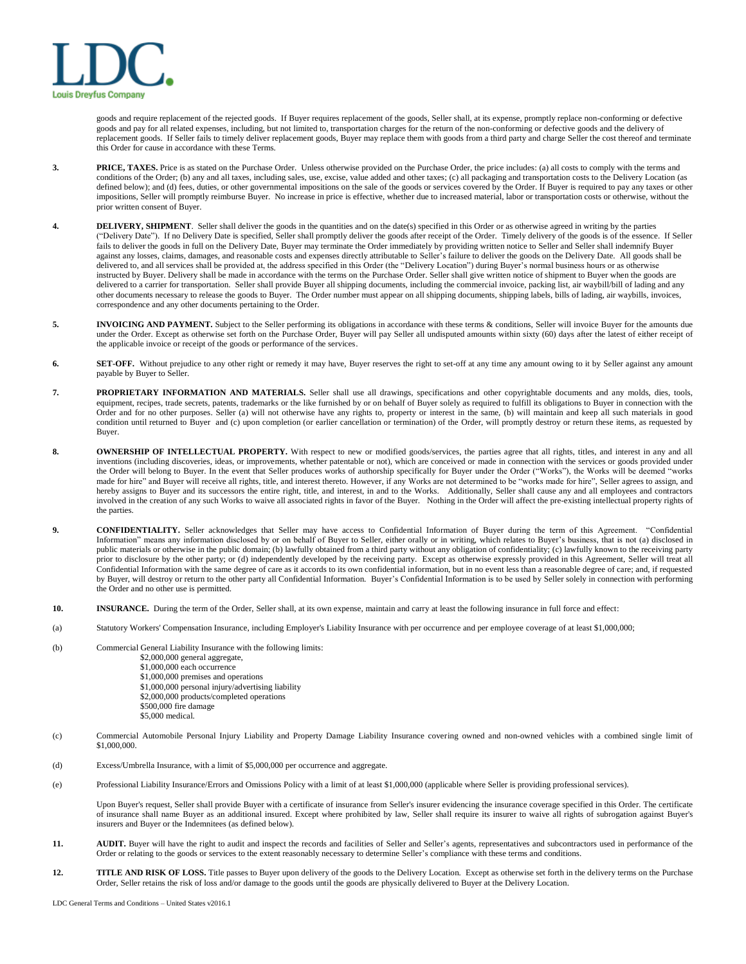

goods and require replacement of the rejected goods. If Buyer requires replacement of the goods, Seller shall, at its expense, promptly replace non-conforming or defective goods and pay for all related expenses, including, but not limited to, transportation charges for the return of the non-conforming or defective goods and the delivery of replacement goods. If Seller fails to timely deliver replacement goods, Buyer may replace them with goods from a third party and charge Seller the cost thereof and terminate this Order for cause in accordance with these Terms.

- **3. PRICE, TAXES.** Price is as stated on the Purchase Order. Unless otherwise provided on the Purchase Order, the price includes: (a) all costs to comply with the terms and conditions of the Order; (b) any and all taxes, including sales, use, excise, value added and other taxes; (c) all packaging and transportation costs to the Delivery Location (as defined below); and (d) fees, duties, or other governmental impositions on the sale of the goods or services covered by the Order. If Buyer is required to pay any taxes or other impositions, Seller will promptly reimburse Buyer. No increase in price is effective, whether due to increased material, labor or transportation costs or otherwise, without the prior written consent of Buyer.
- **4. DELIVERY, SHIPMENT**. Seller shall deliver the goods in the quantities and on the date(s) specified in this Order or as otherwise agreed in writing by the parties ("Delivery Date"). If no Delivery Date is specified, Seller shall promptly deliver the goods after receipt of the Order. Timely delivery of the goods is of the essence. If Seller fails to deliver the goods in full on the Delivery Date, Buyer may terminate the Order immediately by providing written notice to Seller and Seller shall indemnify Buyer against any losses, claims, damages, and reasonable costs and expenses directly attributable to Seller's failure to deliver the goods on the Delivery Date. All goods shall be delivered to, and all services shall be provided at, the address specified in this Order (the "Delivery Location") during Buyer's normal business hours or as otherwise instructed by Buyer. Delivery shall be made in accordance with the terms on the Purchase Order. Seller shall give written notice of shipment to Buyer when the goods are delivered to a carrier for transportation. Seller shall provide Buyer all shipping documents, including the commercial invoice, packing list, air waybill/bill of lading and any other documents necessary to release the goods to Buyer. The Order number must appear on all shipping documents, shipping labels, bills of lading, air waybills, invoices, correspondence and any other documents pertaining to the Order.
- **5. INVOICING AND PAYMENT.** Subject to the Seller performing its obligations in accordance with these terms & conditions, Seller will invoice Buyer for the amounts due under the Order. Except as otherwise set forth on the Purchase Order, Buyer will pay Seller all undisputed amounts within sixty (60) days after the latest of either receipt of the applicable invoice or receipt of the goods or performance of the services.
- 6. SET-OFF. Without prejudice to any other right or remedy it may have, Buyer reserves the right to set-off at any time any amount owing to it by Seller against any amount payable by Buyer to Seller.
- **7. PROPRIETARY INFORMATION AND MATERIALS.** Seller shall use all drawings, specifications and other copyrightable documents and any molds, dies, tools, equipment, recipes, trade secrets, patents, trademarks or the like furnished by or on behalf of Buyer solely as required to fulfill its obligations to Buyer in connection with the Order and for no other purposes. Seller (a) will not otherwise have any rights to, property or interest in the same, (b) will maintain and keep all such materials in good condition until returned to Buyer and (c) upon completion (or earlier cancellation or termination) of the Order, will promptly destroy or return these items, as requested by Buyer.
- 8. **OWNERSHIP OF INTELLECTUAL PROPERTY.** With respect to new or modified goods/services, the parties agree that all rights, titles, and interest in any and all inventions (including discoveries, ideas, or improvements, whether patentable or not), which are conceived or made in connection with the services or goods provided under the Order will belong to Buyer. In the event that Seller produces works of authorship specifically for Buyer under the Order ("Works"), the Works will be deemed "works made for hire" and Buyer will receive all rights, title, and interest thereto. However, if any Works are not determined to be "works made for hire", Seller agrees to assign, and hereby assigns to Buyer and its successors the entire right, title, and interest, in and to the Works. Additionally, Seller shall cause any and all employees and contractors involved in the creation of any such Works to waive all associated rights in favor of the Buyer. Nothing in the Order will affect the pre-existing intellectual property rights of the parties.
- 9. **CONFIDENTIALITY.** Seller acknowledges that Seller may have access to Confidential Information of Buyer during the term of this Agreement. "Confidential Information" means any information disclosed by or on behalf of Buyer to Seller, either orally or in writing, which relates to Buyer's business, that is not (a) disclosed in public materials or otherwise in the public domain; (b) lawfully obtained from a third party without any obligation of confidentiality; (c) lawfully known to the receiving party prior to disclosure by the other party; or (d) independently developed by the receiving party. Except as otherwise expressly provided in this Agreement, Seller will treat all Confidential Information with the same degree of care as it accords to its own confidential information, but in no event less than a reasonable degree of care; and, if requested by Buyer, will destroy or return to the other party all Confidential Information. Buyer's Confidential Information is to be used by Seller solely in connection with performing the Order and no other use is permitted.
- **10. INSURANCE.** During the term of the Order, Seller shall, at its own expense, maintain and carry at least the following insurance in full force and effect:
- (a) Statutory Workers' Compensation Insurance, including Employer's Liability Insurance with per occurrence and per employee coverage of at least \$1,000,000;
- (b) Commercial General Liability Insurance with the following limits: \$2,000,000 general aggregate, \$1,000,000 each occurrence \$1,000,000 premises and operations \$1,000,000 personal injury/advertising liability \$2,000,000 products/completed operations \$500,000 fire damage \$5,000 medical.
- (c) Commercial Automobile Personal Injury Liability and Property Damage Liability Insurance covering owned and non-owned vehicles with a combined single limit of \$1,000,000.
- (d) Excess/Umbrella Insurance, with a limit of \$5,000,000 per occurrence and aggregate.
- (e) Professional Liability Insurance/Errors and Omissions Policy with a limit of at least \$1,000,000 (applicable where Seller is providing professional services).

Upon Buyer's request, Seller shall provide Buyer with a certificate of insurance from Seller's insurer evidencing the insurance coverage specified in this Order. The certificate of insurance shall name Buyer as an additional insured. Except where prohibited by law, Seller shall require its insurer to waive all rights of subrogation against Buyer's insurers and Buyer or the Indemnitees (as defined below).

- 11. **AUDIT.** Buyer will have the right to audit and inspect the records and facilities of Seller and Seller's agents, representatives and subcontractors used in performance of the Order or relating to the goods or services to the extent reasonably necessary to determine Seller's compliance with these terms and conditions.
- 12. **TITLE AND RISK OF LOSS.** Title passes to Buyer upon delivery of the goods to the Delivery Location. Except as otherwise set forth in the delivery terms on the Purchase Order, Seller retains the risk of loss and/or damage to the goods until the goods are physically delivered to Buyer at the Delivery Location.